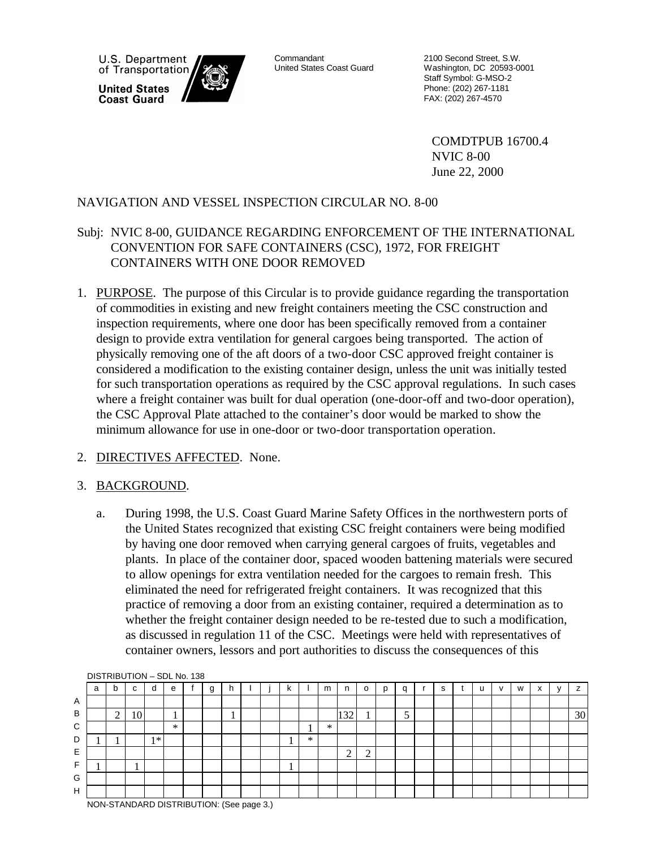U.S. Department of Transportation **United States Coast Guard** 

Commandant United States Coast Guard 2100 Second Street, S.W. Washington, DC 20593-0001 Staff Symbol: G-MSO-2 Phone: (202) 267-1181 FAX: (202) 267-4570

COMDTPUB 16700.4 NVIC 8-00 June 22, 2000

#### NAVIGATION AND VESSEL INSPECTION CIRCULAR NO. 8-00

#### Subj: NVIC 8-00, GUIDANCE REGARDING ENFORCEMENT OF THE INTERNATIONAL CONVENTION FOR SAFE CONTAINERS (CSC), 1972, FOR FREIGHT CONTAINERS WITH ONE DOOR REMOVED

1. PURPOSE. The purpose of this Circular is to provide guidance regarding the transportation of commodities in existing and new freight containers meeting the CSC construction and inspection requirements, where one door has been specifically removed from a container design to provide extra ventilation for general cargoes being transported. The action of physically removing one of the aft doors of a two-door CSC approved freight container is considered a modification to the existing container design, unless the unit was initially tested for such transportation operations as required by the CSC approval regulations. In such cases where a freight container was built for dual operation (one-door-off and two-door operation), the CSC Approval Plate attached to the container's door would be marked to show the minimum allowance for use in one-door or two-door transportation operation.

#### 2. DIRECTIVES AFFECTED. None.

#### 3. BACKGROUND.

a. During 1998, the U.S. Coast Guard Marine Safety Offices in the northwestern ports of the United States recognized that existing CSC freight containers were being modified by having one door removed when carrying general cargoes of fruits, vegetables and plants. In place of the container door, spaced wooden battening materials were secured to allow openings for extra ventilation needed for the cargoes to remain fresh. This eliminated the need for refrigerated freight containers. It was recognized that this practice of removing a door from an existing container, required a determination as to whether the freight container design needed to be re-tested due to such a modification, as discussed in regulation 11 of the CSC. Meetings were held with representatives of container owners, lessors and port authorities to discuss the consequences of this



NON-STANDARD DISTRIBUTION: (See page 3.)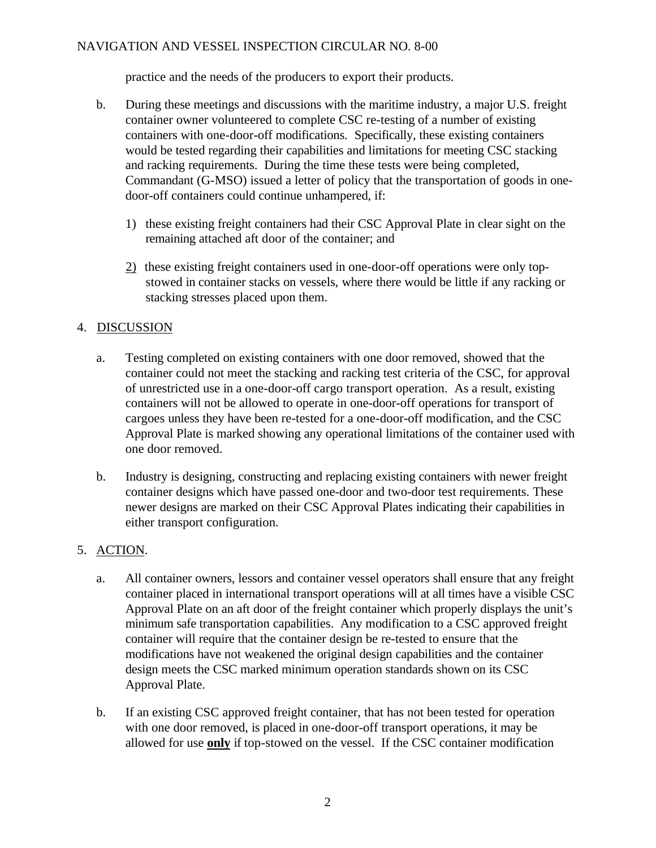#### NAVIGATION AND VESSEL INSPECTION CIRCULAR NO. 8-00

practice and the needs of the producers to export their products.

- b. During these meetings and discussions with the maritime industry, a major U.S. freight container owner volunteered to complete CSC re-testing of a number of existing containers with one-door-off modifications. Specifically, these existing containers would be tested regarding their capabilities and limitations for meeting CSC stacking and racking requirements. During the time these tests were being completed, Commandant (G-MSO) issued a letter of policy that the transportation of goods in onedoor-off containers could continue unhampered, if:
	- 1) these existing freight containers had their CSC Approval Plate in clear sight on the remaining attached aft door of the container; and
	- 2) these existing freight containers used in one-door-off operations were only topstowed in container stacks on vessels, where there would be little if any racking or stacking stresses placed upon them.

### 4. DISCUSSION

- a. Testing completed on existing containers with one door removed, showed that the container could not meet the stacking and racking test criteria of the CSC, for approval of unrestricted use in a one-door-off cargo transport operation. As a result, existing containers will not be allowed to operate in one-door-off operations for transport of cargoes unless they have been re-tested for a one-door-off modification, and the CSC Approval Plate is marked showing any operational limitations of the container used with one door removed.
- b. Industry is designing, constructing and replacing existing containers with newer freight container designs which have passed one-door and two-door test requirements. These newer designs are marked on their CSC Approval Plates indicating their capabilities in either transport configuration.

#### 5. ACTION.

- a. All container owners, lessors and container vessel operators shall ensure that any freight container placed in international transport operations will at all times have a visible CSC Approval Plate on an aft door of the freight container which properly displays the unit's minimum safe transportation capabilities. Any modification to a CSC approved freight container will require that the container design be re-tested to ensure that the modifications have not weakened the original design capabilities and the container design meets the CSC marked minimum operation standards shown on its CSC Approval Plate.
- b. If an existing CSC approved freight container, that has not been tested for operation with one door removed, is placed in one-door-off transport operations, it may be allowed for use **only** if top-stowed on the vessel. If the CSC container modification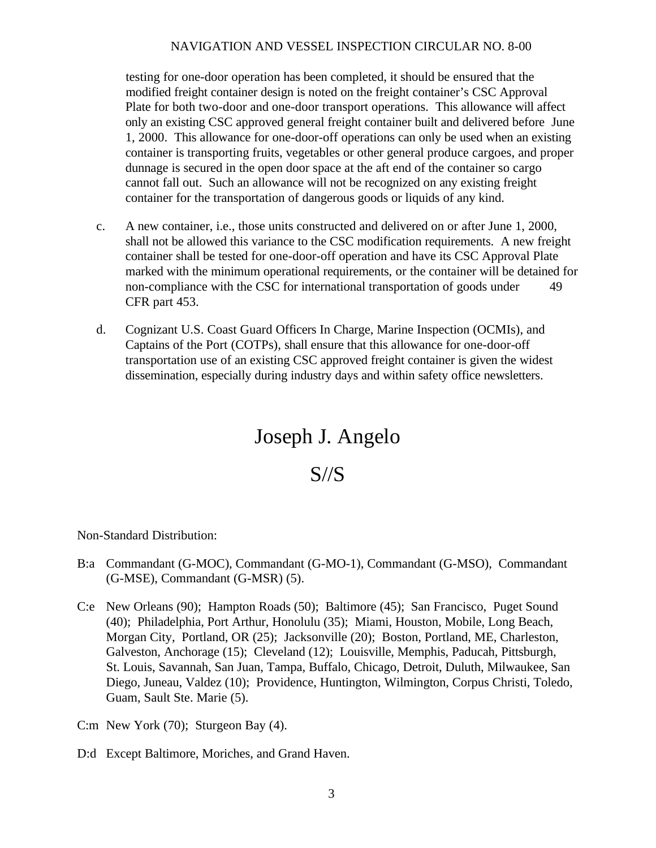#### NAVIGATION AND VESSEL INSPECTION CIRCULAR NO. 8-00

testing for one-door operation has been completed, it should be ensured that the modified freight container design is noted on the freight container's CSC Approval Plate for both two-door and one-door transport operations. This allowance will affect only an existing CSC approved general freight container built and delivered before June 1, 2000. This allowance for one-door-off operations can only be used when an existing container is transporting fruits, vegetables or other general produce cargoes, and proper dunnage is secured in the open door space at the aft end of the container so cargo cannot fall out. Such an allowance will not be recognized on any existing freight container for the transportation of dangerous goods or liquids of any kind.

- c. A new container, i.e., those units constructed and delivered on or after June 1, 2000, shall not be allowed this variance to the CSC modification requirements. A new freight container shall be tested for one-door-off operation and have its CSC Approval Plate marked with the minimum operational requirements, or the container will be detained for non-compliance with the CSC for international transportation of goods under 49 CFR part 453.
- d. Cognizant U.S. Coast Guard Officers In Charge, Marine Inspection (OCMIs), and Captains of the Port (COTPs), shall ensure that this allowance for one-door-off transportation use of an existing CSC approved freight container is given the widest dissemination, especially during industry days and within safety office newsletters.

# Joseph J. Angelo

## S//S

Non-Standard Distribution:

- B:a Commandant (G-MOC), Commandant (G-MO-1), Commandant (G-MSO), Commandant (G-MSE), Commandant (G-MSR) (5).
- C:e New Orleans (90); Hampton Roads (50); Baltimore (45); San Francisco, Puget Sound (40); Philadelphia, Port Arthur, Honolulu (35); Miami, Houston, Mobile, Long Beach, Morgan City, Portland, OR (25); Jacksonville (20); Boston, Portland, ME, Charleston, Galveston, Anchorage (15); Cleveland (12); Louisville, Memphis, Paducah, Pittsburgh, St. Louis, Savannah, San Juan, Tampa, Buffalo, Chicago, Detroit, Duluth, Milwaukee, San Diego, Juneau, Valdez (10); Providence, Huntington, Wilmington, Corpus Christi, Toledo, Guam, Sault Ste. Marie (5).
- C:m New York (70); Sturgeon Bay (4).
- D:d Except Baltimore, Moriches, and Grand Haven.